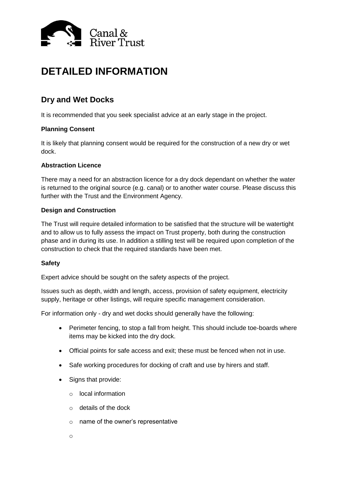

# **DETAILED INFORMATION**

## **Dry and Wet Docks**

It is recommended that you seek specialist advice at an early stage in the project.

### **Planning Consent**

It is likely that planning consent would be required for the construction of a new dry or wet dock.

#### **Abstraction Licence**

There may a need for an abstraction licence for a dry dock dependant on whether the water is returned to the original source (e.g. canal) or to another water course. Please discuss this further with the Trust and the Environment Agency.

#### **Design and Construction**

The Trust will require detailed information to be satisfied that the structure will be watertight and to allow us to fully assess the impact on Trust property, both during the construction phase and in during its use. In addition a stilling test will be required upon completion of the construction to check that the required standards have been met.

#### **Safety**

Expert advice should be sought on the safety aspects of the project.

Issues such as depth, width and length, access, provision of safety equipment, electricity supply, heritage or other listings, will require specific management consideration.

For information only - dry and wet docks should generally have the following:

- Perimeter fencing, to stop a fall from height. This should include toe-boards where items may be kicked into the dry dock.
- Official points for safe access and exit; these must be fenced when not in use.
- Safe working procedures for docking of craft and use by hirers and staff.
- Signs that provide:
	- o local information
	- o details of the dock
	- o name of the owner's representative
	- o